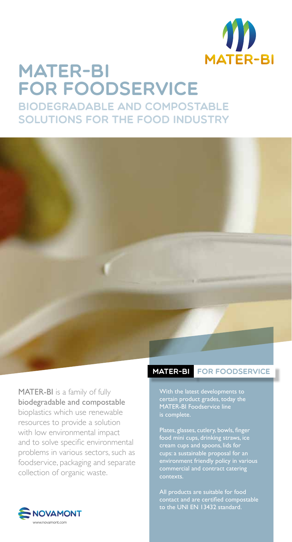

## Mater-Bi for foodservice biodegradable and compostable solutions for the food industry



MATER-BI is a family of fully biodegradable and compostable bioplastics which use renewable resources to provide a solution with low environmental impact and to solve specific environmental problems in various sectors, such as foodservice, packaging and separate collection of organic waste.

## MATER-BI FOR FOODSERVICE

With the latest developments to certain product grades, today the MATER-BI Foodservice line is complete.

Plates, glasses, cutlery, bowls, finger food mini cups, drinking straws, ice cream cups and spoons, lids for cups: a sustainable proposal for an environment friendly policy in various commercial and contract catering

All products are suitable for food contact and are certified compostable to the UNI EN 13432 standard.